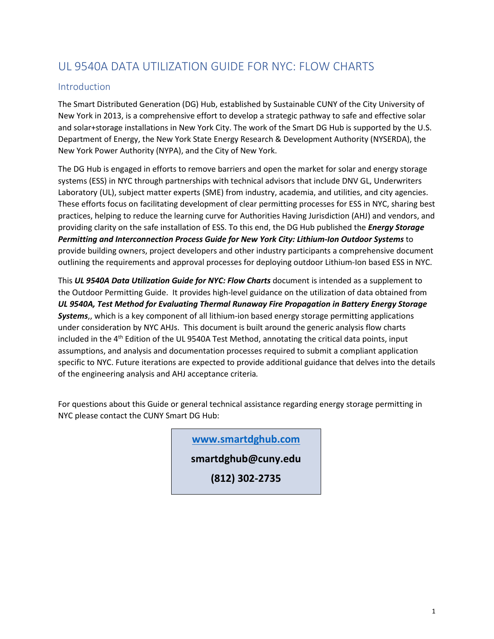# UL 9540A DATA UTILIZATION GUIDE FOR NYC: FLOW CHARTS

#### Introduction

The Smart Distributed Generation (DG) Hub, established by Sustainable CUNY of the City University of New York in 2013, is a comprehensive effort to develop a strategic pathway to safe and effective solar and solar+storage installations in New York City. The work of the Smart DG Hub is supported by the U.S. Department of Energy, the New York State Energy Research & Development Authority (NYSERDA), the New York Power Authority (NYPA), and the City of New York.

The DG Hub is engaged in efforts to remove barriers and open the market for solar and energy storage systems (ESS) in NYC through partnerships with technical advisors that include DNV GL, Underwriters Laboratory (UL), subject matter experts (SME) from industry, academia, and utilities, and city agencies. These efforts focus on facilitating development of clear permitting processes for ESS in NYC, sharing best practices, helping to reduce the learning curve for Authorities Having Jurisdiction (AHJ) and vendors, and providing clarity on the safe installation of ESS. To this end, the DG Hub published the *Energy Storage Permitting and Interconnection Process Guide for New York City: Lithium-Ion Outdoor Systems* to provide building owners, project developers and other industry participants a comprehensive document outlining the requirements and approval processes for deploying outdoor Lithium-Ion based ESS in NYC.

This *UL 9540A Data Utilization Guide for NYC: Flow Charts* document is intended as a supplement to the Outdoor Permitting Guide. It provides high-level guidance on the utilization of data obtained from *UL 9540A, Test Method for Evaluating Thermal Runaway Fire Propagation in Battery Energy Storage Systems*,, which is a key component of all lithium-ion based energy storage permitting applications under consideration by NYC AHJs. This document is built around the generic analysis flow charts included in the 4<sup>th</sup> Edition of the UL 9540A Test Method, annotating the critical data points, input assumptions, and analysis and documentation processes required to submit a compliant application specific to NYC. Future iterations are expected to provide additional guidance that delves into the details of the engineering analysis and AHJ acceptance criteria*.*

For questions about this Guide or general technical assistance regarding energy storage permitting in NYC please contact the CUNY Smart DG Hub:

**[www.smartdghub.com](http://www.smartdghub.com/)**

**smartdghub@cuny.edu**

**(812) 302-2735**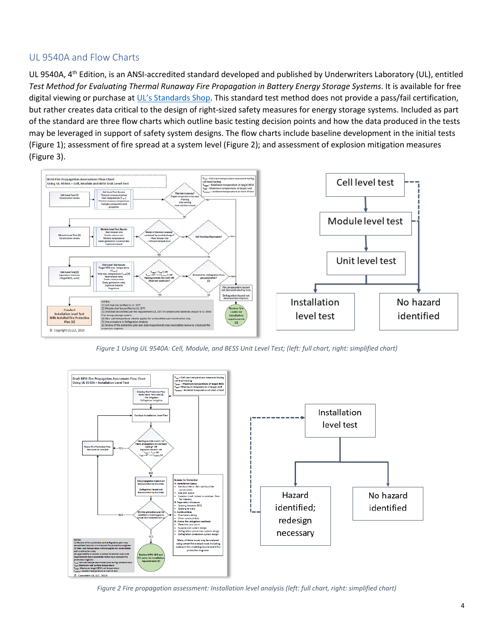### UL 9540A and Flow Charts

UL 9540A, 4<sup>th</sup> Edition, is an ANSI-accredited standard developed and published by Underwriters Laboratory (UL), entitled *Test Method for Evaluating Thermal Runaway Fire Propagation in Battery Energy Storage Systems*. It is available for free digital viewing or purchase a[t UL's Standards Shop.](https://www.shopulstandards.com/ProductDetail.aspx?UniqueKey=36503) This standard test method does not provide a pass/fail certification, but rather creates data critical to the design of right-sized safety measures for energy storage systems. Included as part of the standard are three flow charts which outline basic testing decision points and how the data produced in the tests may be leveraged in support of safety system designs. The flow charts include baseline development in the initial tests [\(Figure 1\)](#page-1-0); assessment of fire spread at a system level [\(Figure 2\)](#page-1-1); and assessment of explosion mitigation measures [\(Figure 3\)](#page-2-0).



*Figure 1 Using UL 9540A: Cell, Module, and BESS Unit Level Test; (left: full chart, right: simplified chart)*

<span id="page-1-0"></span>

<span id="page-1-1"></span>*Figure 2 Fire propagation assessment: Installation level analysis (left: full chart, right: simplified chart)*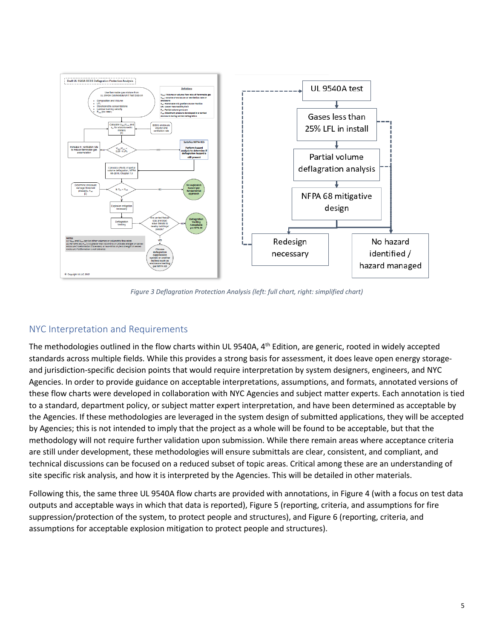

*Figure 3 Deflagration Protection Analysis (left: full chart, right: simplified chart)*

### <span id="page-2-0"></span>NYC Interpretation and Requirements

The methodologies outlined in the flow charts within UL 9540A, 4<sup>th</sup> Edition, are generic, rooted in widely accepted standards across multiple fields. While this provides a strong basis for assessment, it does leave open energy storageand jurisdiction-specific decision points that would require interpretation by system designers, engineers, and NYC Agencies. In order to provide guidance on acceptable interpretations, assumptions, and formats, annotated versions of these flow charts were developed in collaboration with NYC Agencies and subject matter experts. Each annotation is tied to a standard, department policy, or subject matter expert interpretation, and have been determined as acceptable by the Agencies. If these methodologies are leveraged in the system design of submitted applications, they will be accepted by Agencies; this is not intended to imply that the project as a whole will be found to be acceptable, but that the methodology will not require further validation upon submission. While there remain areas where acceptance criteria are still under development, these methodologies will ensure submittals are clear, consistent, and compliant, and technical discussions can be focused on a reduced subset of topic areas. Critical among these are an understanding of site specific risk analysis, and how it is interpreted by the Agencies. This will be detailed in other materials.

Following this, the same three UL 9540A flow charts are provided with annotations, in Figure 4 (with a focus on test data outputs and acceptable ways in which that data is reported), Figure 5 (reporting, criteria, and assumptions for fire suppression/protection of the system, to protect people and structures), and Figure 6 (reporting, criteria, and assumptions for acceptable explosion mitigation to protect people and structures).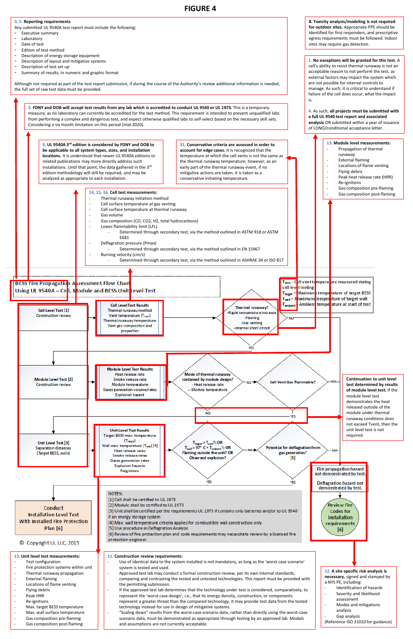

## **FIGURE 4**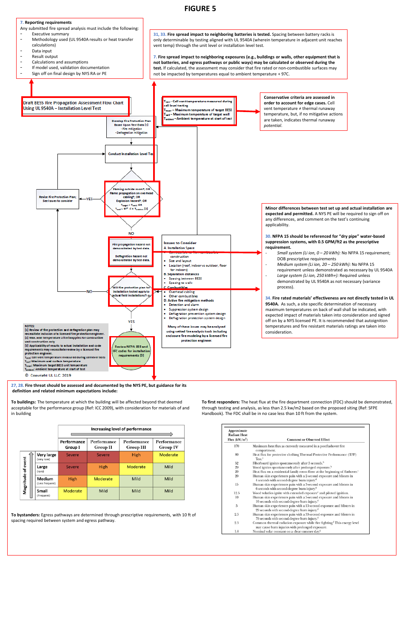**7. Reporting requirements**

**27, 28. Fire threat should be assessed and documented by the NYS PE, but guidance for its definition and related minimum expectations include:**

**To buildings:** The temperature at which the building will be affected beyond that deemed acceptable for the performance group (Ref: ICC 2009), with consideration for materials of and in building

|                    |  |                           | Increasing level of performance |                                |                          |                         |
|--------------------|--|---------------------------|---------------------------------|--------------------------------|--------------------------|-------------------------|
|                    |  |                           | Performance<br>Group I          | Performance<br><b>Group II</b> | Performance<br>Group III | Performance<br>Group IV |
|                    |  | Very large<br>(very rare) | <b>Severe</b>                   | Severe                         | <b>High</b>              | Moderate                |
|                    |  | Large<br>(rare)           | <b>Severe</b>                   | High                           | Moderate                 | Mild                    |
| Magnitude of event |  | Medium<br>(Less frequent) | High                            | Moderate                       | Mild                     | Mild                    |
|                    |  | Small<br>(Frequent)       | Moderate                        | Mild                           | Mild                     | Mild                    |

**To bystanders:** Egress pathways are determined through prescriptive requirements, with 10 ft of spacing required between system and egress pathway.



**To first responders:** The heat flux at the fire department connection (FDC) should be demonstrated, through testing and analysis, as less than 2.5 kw/m2 based on the proposed siting (Ref: SFPE Handbook). The FDC shall be in no case less than 10 ft from the system.

| Approximate<br><b>Radiant Heat</b><br>Flux $(kW/m^2)$ | <b>Comment or Observed Effect</b>                                                                                                         |
|-------------------------------------------------------|-------------------------------------------------------------------------------------------------------------------------------------------|
| 170                                                   | Maximum heat flux as currently measured in a postflashover fire<br>compartment.                                                           |
| 80                                                    | Heat flux for protective clothing Thermal Protective Performance (TPP)<br>Test. <sup>a</sup>                                              |
| 52                                                    | Fiberboard ignites spontaneously after 5 seconds. <sup>b</sup>                                                                            |
| 29                                                    | Wood ignites spontaneously after prolonged exposure. <sup>b</sup>                                                                         |
| 20                                                    | Heat flux on a residential family room floor at the beginning of flashover. <sup><math>c</math></sup>                                     |
| 20                                                    | Human skin experiences pain with a 2-second exposure and blisters in<br>4 seconds with second-degree burn injury. <sup>d</sup>            |
| 15                                                    | Human skin experiences pain with a 3-second exposure and blisters in<br>6 seconds with second-degree burn injury. <sup>d</sup>            |
| 12.5                                                  | Wood volatiles ignite with extended exposure <sup>c</sup> and piloted ignition.                                                           |
| 10                                                    | Human skin experiences pain with a 5-second exposure and blisters in<br>10 seconds with second-degree burn injury. <sup>d</sup>           |
| 5                                                     | Human skin experiences pain with a 13-second exposure and blisters in<br>29 seconds with second-degree burn injury. <sup>d</sup>          |
| 2.5                                                   | Human skin experiences pain with a 33-second exposure and blisters in<br>79 seconds with second-degree burn injury. <sup>d</sup>          |
| 2.5                                                   | Common thermal radiation exposure while fire fighting. <sup>f</sup> This energy level<br>may cause burn injuries with prolonged exposure. |
| 1.0                                                   | Nominal solar constant on a clear summer day. <sup>8</sup>                                                                                |